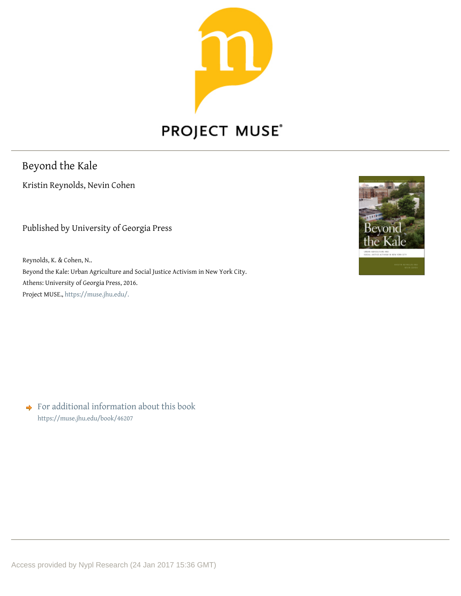

# Beyond the Kale

Kristin Reynolds, Nevin Cohen

Published by University of Georgia Press

Reynolds, K. & Cohen, N.. Beyond the Kale: Urban Agriculture and Social Justice Activism in New York City. Athens: University of Georgia Press, 2016. Project MUSE., https://muse.jhu.edu/.



◆ For additional information about this book <https://muse.jhu.edu/book/46207>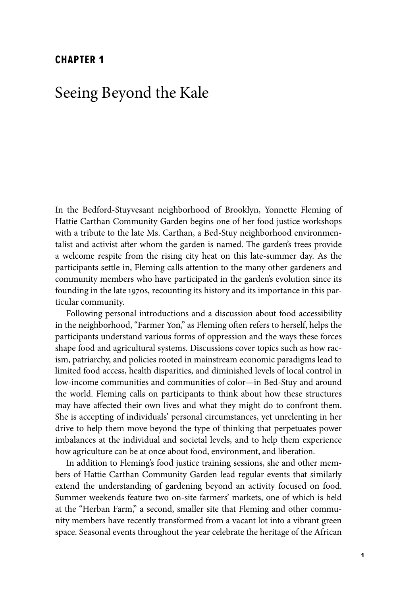# **chapter 1**

# [Seeing Beyond the Kale](#page--1-0)

In the Bedford-Stuyvesant neighborhood of Brooklyn, Yonnette Fleming of Hattie Carthan Community Garden begins one of her food justice workshops with a tribute to the late Ms. Carthan, a Bed-Stuy neighborhood environmentalist and activist after whom the garden is named. The garden's trees provide a welcome respite from the rising city heat on this late-summer day. As the participants settle in, Fleming calls attention to the many other gardeners and community members who have participated in the garden's evolution since its founding in the late 1970s, recounting its history and its importance in this particular community.

 Following personal introductions and a discussion about food accessibility in the neighborhood, "Farmer Yon," as Fleming often refers to herself, helps the participants understand various forms of oppression and the ways these forces shape food and agricultural systems. Discussions cover topics such as how racism, patriarchy, and policies rooted in mainstream economic paradigms lead to limited food access, health disparities, and diminished levels of local control in low-income communities and communities of color—in Bed-Stuy and around the world. Fleming calls on participants to think about how these structures may have affected their own lives and what they might do to confront them. She is accepting of individuals' personal circumstances, yet unrelenting in her drive to help them move beyond the type of thinking that perpetuates power imbalances at the individual and societal levels, and to help them experience how agriculture can be at once about food, environment, and liberation.

 In addition to Fleming's food justice training sessions, she and other members of Hattie Carthan Community Garden lead regular events that similarly extend the understanding of gardening beyond an activity focused on food. Summer weekends feature two on-site farmers' markets, one of which is held at the "Herban Farm," a second, smaller site that Fleming and other community members have recently transformed from a vacant lot into a vibrant green space. Seasonal events throughout the year celebrate the heritage of the African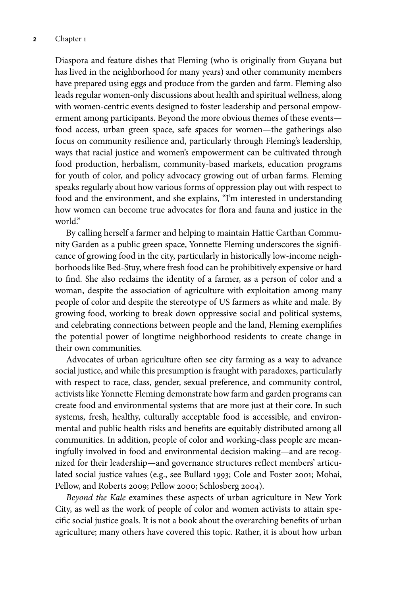Diaspora and feature dishes that Fleming (who is originally from Guyana but has lived in the neighborhood for many years) and other community members have prepared using eggs and produce from the garden and farm. Fleming also leads regular women-only discussions about health and spiritual wellness, along with women-centric events designed to foster leadership and personal empowerment among participants. Beyond the more obvious themes of these events food access, urban green space, safe spaces for women—the gatherings also focus on community resilience and, particularly through Fleming's leadership, ways that racial justice and women's empowerment can be cultivated through food production, herbalism, community-based markets, education programs for youth of color, and policy advocacy growing out of urban farms. Fleming speaks regularly about how various forms of oppression play out with respect to food and the environment, and she explains, "I'm interested in understanding how women can become true advocates for flora and fauna and justice in the world"

 By calling herself a farmer and helping to maintain Hattie Carthan Community Garden as a public green space, Yonnette Fleming underscores the significance of growing food in the city, particularly in historically low-income neighborhoods like Bed-Stuy, where fresh food can be prohibitively expensive or hard to find. She also reclaims the identity of a farmer, as a person of color and a woman, despite the association of agriculture with exploitation among many people of color and despite the stereotype of US farmers as white and male. By growing food, working to break down oppressive social and political systems, and celebrating connections between people and the land, Fleming exemplifies the potential power of longtime neighborhood residents to create change in their own communities.

 Advocates of urban agriculture often see city farming as a way to advance social justice, and while this presumption is fraught with paradoxes, particularly with respect to race, class, gender, sexual preference, and community control, activists like Yonnette Fleming demonstrate how farm and garden programs can create food and environmental systems that are more just at their core. In such systems, fresh, healthy, culturally acceptable food is accessible, and environmental and public health risks and benefits are equitably distributed among all communities. In addition, people of color and working-class people are meaningfully involved in food and environmental decision making—and are recognized for their leadership—and governance structures reflect members' articulated social justice values (e.g., see Bullard 1993; Cole and Foster 2001; Mohai, Pellow, and Roberts 2009; Pellow 2000; Schlosberg 2004).

*Beyond the Kale* examines these aspects of urban agriculture in New York City, as well as the work of people of color and women activists to attain specific social justice goals. It is not a book about the overarching benefits of urban agriculture; many others have covered this topic. Rather, it is about how urban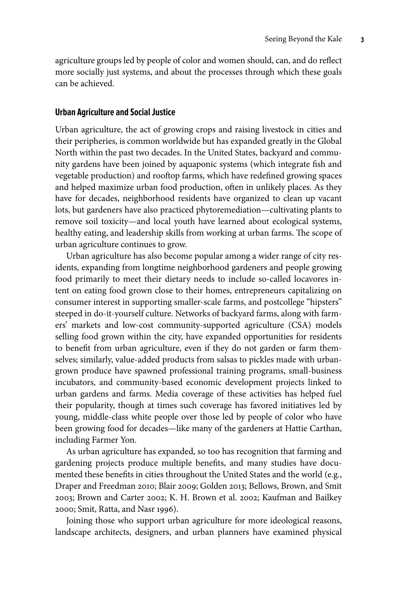agriculture groups led by people of color and women should, can, and do reflect more socially just systems, and about the processes through which these goals can be achieved.

#### **Urban Agriculture and Social Justice**

Urban agriculture, the act of growing crops and raising livestock in cities and their peripheries, is common worldwide but has expanded greatly in the Global North within the past two decades. In the United States, backyard and community gardens have been joined by aquaponic systems (which integrate fish and vegetable production) and rooftop farms, which have redefined growing spaces and helped maximize urban food production, often in unlikely places. As they have for decades, neighborhood residents have organized to clean up vacant lots, but gardeners have also practiced phytoremediation—cultivating plants to remove soil toxicity—and local youth have learned about ecological systems, healthy eating, and leadership skills from working at urban farms. The scope of urban agriculture continues to grow.

 Urban agriculture has also become popular among a wider range of city residents, expanding from longtime neighborhood gardeners and people growing food primarily to meet their dietary needs to include so-called locavores intent on eating food grown close to their homes, entrepreneurs capitalizing on consumer interest in supporting smaller-scale farms, and postcollege "hipsters" steeped in do-it-yourself culture. Networks of backyard farms, along with farmers' markets and low-cost community-supported agriculture (CSA) models selling food grown within the city, have expanded opportunities for residents to benefit from urban agriculture, even if they do not garden or farm themselves; similarly, value-added products from salsas to pickles made with urbangrown produce have spawned professional training programs, small-business incubators, and community-based economic development projects linked to urban gardens and farms. Media coverage of these activities has helped fuel their popularity, though at times such coverage has favored initiatives led by young, middle-class white people over those led by people of color who have been growing food for decades—like many of the gardeners at Hattie Carthan, including Farmer Yon.

 As urban agriculture has expanded, so too has recognition that farming and gardening projects produce multiple benefits, and many studies have documented these benefits in cities throughout the United States and the world (e.g., Draper and Freedman 2010; Blair 2009; Golden 2013; Bellows, Brown, and Smit 2003; Brown and Carter 2002; K. H. Brown et al. 2002; Kaufman and Bailkey 2000; Smit, Ratta, and Nasr 1996).

 Joining those who support urban agriculture for more ideological reasons, landscape architects, designers, and urban planners have examined physical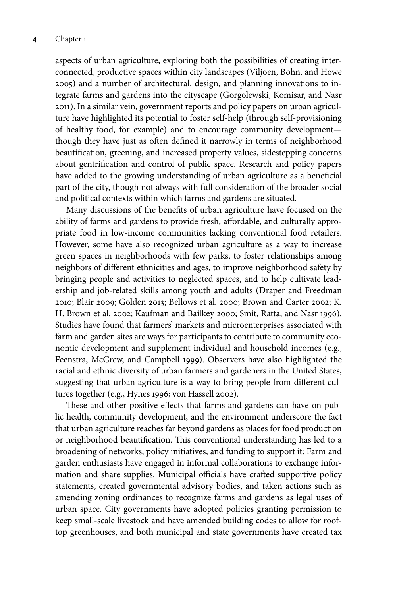aspects of urban agriculture, exploring both the possibilities of creating interconnected, productive spaces within city landscapes (Viljoen, Bohn, and Howe 2005) and a number of architectural, design, and planning innovations to integrate farms and gardens into the cityscape (Gorgolewski, Komisar, and Nasr 2011). In a similar vein, government reports and policy papers on urban agriculture have highlighted its potential to foster self-help (through self-provisioning of healthy food, for example) and to encourage community development though they have just as often defined it narrowly in terms of neighborhood beautification, greening, and increased property values, sidestepping concerns about gentrification and control of public space. Research and policy papers have added to the growing understanding of urban agriculture as a beneficial part of the city, though not always with full consideration of the broader social and political contexts within which farms and gardens are situated.

 Many discussions of the benefits of urban agriculture have focused on the ability of farms and gardens to provide fresh, affordable, and culturally appropriate food in low-income communities lacking conventional food retailers. However, some have also recognized urban agriculture as a way to increase green spaces in neighborhoods with few parks, to foster relationships among neighbors of different ethnicities and ages, to improve neighborhood safety by bringing people and activities to neglected spaces, and to help cultivate leadership and job-related skills among youth and adults (Draper and Freedman 2010; Blair 2009; Golden 2013; Bellows et al. 2000; Brown and Carter 2002; K. H. Brown et al. 2002; Kaufman and Bailkey 2000; Smit, Ratta, and Nasr 1996). Studies have found that farmers' markets and microenterprises associated with farm and garden sites are ways for participants to contribute to community economic development and supplement individual and household incomes (e.g., Feenstra, McGrew, and Campbell 1999). Observers have also highlighted the racial and ethnic diversity of urban farmers and gardeners in the United States, suggesting that urban agriculture is a way to bring people from different cultures together (e.g., Hynes 1996; von Hassell 2002).

 These and other positive effects that farms and gardens can have on public health, community development, and the environment underscore the fact that urban agriculture reaches far beyond gardens as places for food production or neighborhood beautification. This conventional understanding has led to a broadening of networks, policy initiatives, and funding to support it: Farm and garden enthusiasts have engaged in informal collaborations to exchange information and share supplies. Municipal officials have crafted supportive policy statements, created governmental advisory bodies, and taken actions such as amending zoning ordinances to recognize farms and gardens as legal uses of urban space. City governments have adopted policies granting permission to keep small-scale livestock and have amended building codes to allow for rooftop greenhouses, and both municipal and state governments have created tax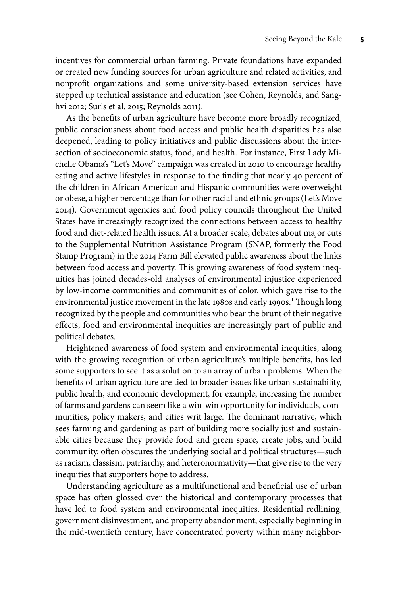incentives for commercial urban farming. Private foundations have expanded or created new funding sources for urban agriculture and related activities, and nonprofit organizations and some university-based extension services have stepped up technical assistance and education (see Cohen, Reynolds, and Sanghvi 2012; Surls et al. 2015; Reynolds 2011).

 As the benefits of urban agriculture have become more broadly recognized, public consciousness about food access and public health disparities has also deepened, leading to policy initiatives and public discussions about the intersection of socioeconomic status, food, and health. For instance, First Lady Michelle Obama's "Let's Move" campaign was created in 2010 to encourage healthy eating and active lifestyles in response to the finding that nearly 40 percent of the children in African American and Hispanic communities were overweight or obese, a higher percentage than for other racial and ethnic groups (Let's Move 2014). Government agencies and food policy councils throughout the United States have increasingly recognized the connections between access to healthy food and diet-related health issues. At a broader scale, debates about major cuts to the Supplemental Nutrition Assistance Program (SNAP, formerly the Food Stamp Program) in the 2014 Farm Bill elevated public awareness about the links between food access and poverty. This growing awareness of food system inequities has joined decades-old analyses of environmental injustice experienced by low-income communities and communities of color, which gave rise to the environmental justice movement in the late 1980s and early 1990s.<sup>1</sup> Though long recognized by the people and communities who bear the brunt of their negative effects, food and environmental inequities are increasingly part of public and political debates.

 Heightened awareness of food system and environmental inequities, along with the growing recognition of urban agriculture's multiple benefits, has led some supporters to see it as a solution to an array of urban problems. When the benefits of urban agriculture are tied to broader issues like urban sustainability, public health, and economic development, for example, increasing the number of farms and gardens can seem like a win-win opportunity for individuals, communities, policy makers, and cities writ large. The dominant narrative, which sees farming and gardening as part of building more socially just and sustainable cities because they provide food and green space, create jobs, and build community, often obscures the underlying social and political structures—such as racism, classism, patriarchy, and heteronormativity—that give rise to the very inequities that supporters hope to address.

 Understanding agriculture as a multifunctional and beneficial use of urban space has often glossed over the historical and contemporary processes that have led to food system and environmental inequities. Residential redlining, government disinvestment, and property abandonment, especially beginning in the mid-twentieth century, have concentrated poverty within many neighbor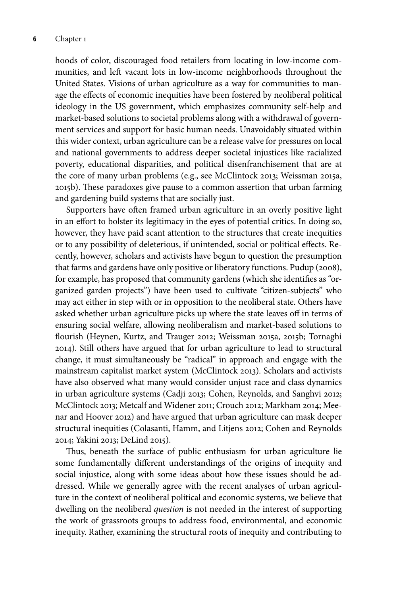hoods of color, discouraged food retailers from locating in low-income communities, and left vacant lots in low-income neighborhoods throughout the United States. Visions of urban agriculture as a way for communities to manage the effects of economic inequities have been fostered by neoliberal political ideology in the US government, which emphasizes community self-help and market-based solutions to societal problems along with a withdrawal of government services and support for basic human needs. Unavoidably situated within this wider context, urban agriculture can be a release valve for pressures on local and national governments to address deeper societal injustices like racialized poverty, educational disparities, and political disenfranchisement that are at the core of many urban problems (e.g., see McClintock 2013; Weissman 2015a, 2015b). These paradoxes give pause to a common assertion that urban farming and gardening build systems that are socially just.

 Supporters have often framed urban agriculture in an overly positive light in an effort to bolster its legitimacy in the eyes of potential critics. In doing so, however, they have paid scant attention to the structures that create inequities or to any possibility of deleterious, if unintended, social or political effects. Recently, however, scholars and activists have begun to question the presumption that farms and gardens have only positive or liberatory functions. Pudup (2008), for example, has proposed that community gardens (which she identifies as "organized garden projects") have been used to cultivate "citizen-subjects" who may act either in step with or in opposition to the neoliberal state. Others have asked whether urban agriculture picks up where the state leaves off in terms of ensuring social welfare, allowing neoliberalism and market-based solutions to flourish (Heynen, Kurtz, and Trauger 2012; Weissman 2015a, 2015b; Tornaghi 2014). Still others have argued that for urban agriculture to lead to structural change, it must simultaneously be "radical" in approach and engage with the mainstream capitalist market system (McClintock 2013). Scholars and activists have also observed what many would consider unjust race and class dynamics in urban agriculture systems (Cadji 2013; Cohen, Reynolds, and Sanghvi 2012; McClintock 2013; Metcalf and Widener 2011; Crouch 2012; Markham 2014; Meenar and Hoover 2012) and have argued that urban agriculture can mask deeper structural inequities (Colasanti, Hamm, and Litjens 2012; Cohen and Reynolds 2014; Yakini 2013; DeLind 2015).

 Thus, beneath the surface of public enthusiasm for urban agriculture lie some fundamentally different understandings of the origins of inequity and social injustice, along with some ideas about how these issues should be addressed. While we generally agree with the recent analyses of urban agriculture in the context of neoliberal political and economic systems, we believe that dwelling on the neoliberal *question* is not needed in the interest of supporting the work of grassroots groups to address food, environmental, and economic inequity. Rather, examining the structural roots of inequity and contributing to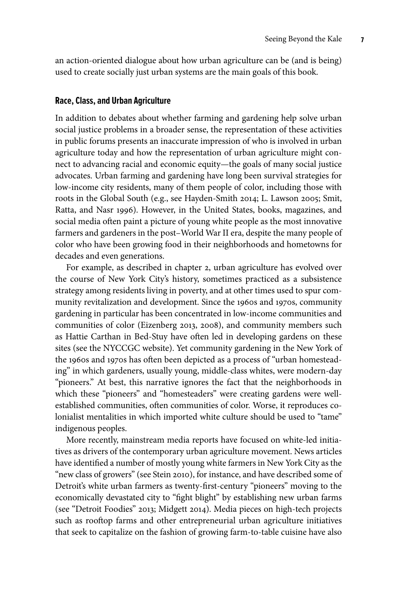an action-oriented dialogue about how urban agriculture can be (and is being) used to create socially just urban systems are the main goals of this book.

#### **Race, Class, and Urban Agriculture**

In addition to debates about whether farming and gardening help solve urban social justice problems in a broader sense, the representation of these activities in public forums presents an inaccurate impression of who is involved in urban agriculture today and how the representation of urban agriculture might connect to advancing racial and economic equity—the goals of many social justice advocates. Urban farming and gardening have long been survival strategies for low-income city residents, many of them people of color, including those with roots in the Global South (e.g., see Hayden-Smith 2014; L. Lawson 2005; Smit, Ratta, and Nasr 1996). However, in the United States, books, magazines, and social media often paint a picture of young white people as the most innovative farmers and gardeners in the post–World War II era, despite the many people of color who have been growing food in their neighborhoods and hometowns for decades and even generations.

 For example, as described in chapter 2, urban agriculture has evolved over the course of New York City's history, sometimes practiced as a subsistence strategy among residents living in poverty, and at other times used to spur community revitalization and development. Since the 1960s and 1970s, community gardening in particular has been concentrated in low-income communities and communities of color (Eizenberg 2013, 2008), and community members such as Hattie Carthan in Bed-Stuy have often led in developing gardens on these sites (see the NYCCGC website). Yet community gardening in the New York of the 1960s and 1970s has often been depicted as a process of "urban homesteading" in which gardeners, usually young, middle-class whites, were modern-day "pioneers." At best, this narrative ignores the fact that the neighborhoods in which these "pioneers" and "homesteaders" were creating gardens were wellestablished communities, often communities of color. Worse, it reproduces colonialist mentalities in which imported white culture should be used to "tame" indigenous peoples.

 More recently, mainstream media reports have focused on white-led initiatives as drivers of the contemporary urban agriculture movement. News articles have identified a number of mostly young white farmers in New York City as the "new class of growers" (see Stein 2010), for instance, and have described some of Detroit's white urban farmers as twenty-first-century "pioneers" moving to the economically devastated city to "fight blight" by establishing new urban farms (see "Detroit Foodies" 2013; Midgett 2014). Media pieces on high-tech projects such as rooftop farms and other entrepreneurial urban agriculture initiatives that seek to capitalize on the fashion of growing farm-to-table cuisine have also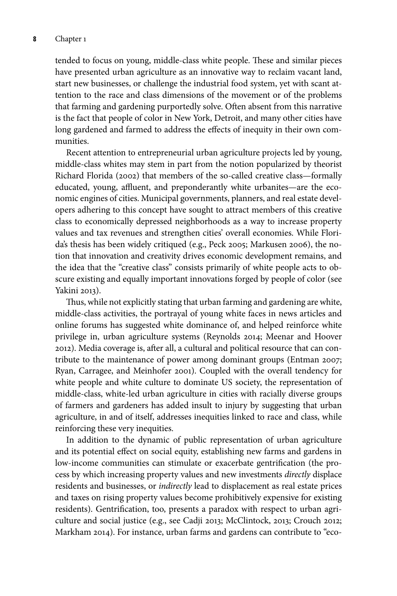tended to focus on young, middle-class white people. These and similar pieces have presented urban agriculture as an innovative way to reclaim vacant land, start new businesses, or challenge the industrial food system, yet with scant attention to the race and class dimensions of the movement or of the problems that farming and gardening purportedly solve. Often absent from this narrative is the fact that people of color in New York, Detroit, and many other cities have long gardened and farmed to address the effects of inequity in their own communities.

 Recent attention to entrepreneurial urban agriculture projects led by young, middle-class whites may stem in part from the notion popularized by theorist Richard Florida (2002) that members of the so-called creative class—formally educated, young, affluent, and preponderantly white urbanites—are the economic engines of cities. Municipal governments, planners, and real estate developers adhering to this concept have sought to attract members of this creative class to economically depressed neighborhoods as a way to increase property values and tax revenues and strengthen cities' overall economies. While Florida's thesis has been widely critiqued (e.g., Peck 2005; Markusen 2006), the notion that innovation and creativity drives economic development remains, and the idea that the "creative class" consists primarily of white people acts to obscure existing and equally important innovations forged by people of color (see Yakini 2013).

 Thus, while not explicitly stating that urban farming and gardening are white, middle-class activities, the portrayal of young white faces in news articles and online forums has suggested white dominance of, and helped reinforce white privilege in, urban agriculture systems (Reynolds 2014; Meenar and Hoover 2012). Media coverage is, after all, a cultural and political resource that can contribute to the maintenance of power among dominant groups (Entman 2007; Ryan, Carragee, and Meinhofer 2001). Coupled with the overall tendency for white people and white culture to dominate US society, the representation of middle-class, white-led urban agriculture in cities with racially diverse groups of farmers and gardeners has added insult to injury by suggesting that urban agriculture, in and of itself, addresses inequities linked to race and class, while reinforcing these very inequities.

 In addition to the dynamic of public representation of urban agriculture and its potential effect on social equity, establishing new farms and gardens in low-income communities can stimulate or exacerbate gentrification (the process by which increasing property values and new investments *directly* displace residents and businesses, or *indirectly* lead to displacement as real estate prices and taxes on rising property values become prohibitively expensive for existing residents). Gentrification, too, presents a paradox with respect to urban agriculture and social justice (e.g., see Cadji 2013; McClintock, 2013; Crouch 2012; Markham 2014). For instance, urban farms and gardens can contribute to "eco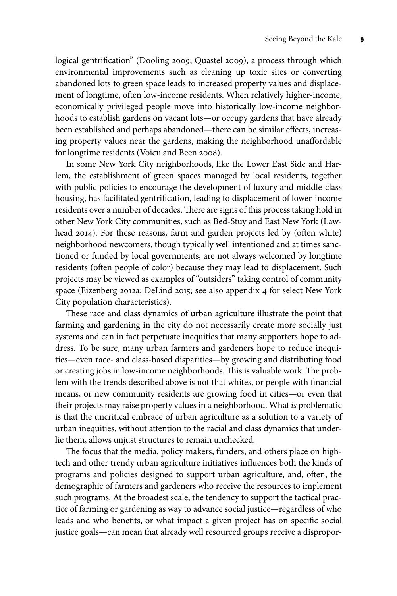logical gentrification" (Dooling 2009; Quastel 2009), a process through which environmental improvements such as cleaning up toxic sites or converting abandoned lots to green space leads to increased property values and displacement of longtime, often low-income residents. When relatively higher-income, economically privileged people move into historically low-income neighborhoods to establish gardens on vacant lots—or occupy gardens that have already been established and perhaps abandoned—there can be similar effects, increasing property values near the gardens, making the neighborhood unaffordable for longtime residents (Voicu and Been 2008).

 In some New York City neighborhoods, like the Lower East Side and Harlem, the establishment of green spaces managed by local residents, together with public policies to encourage the development of luxury and middle-class housing, has facilitated gentrification, leading to displacement of lower-income residents over a number of decades. There are signs of this process taking hold in other New York City communities, such as Bed-Stuy and East New York (Lawhead 2014). For these reasons, farm and garden projects led by (often white) neighborhood newcomers, though typically well intentioned and at times sanctioned or funded by local governments, are not always welcomed by longtime residents (often people of color) because they may lead to displacement. Such projects may be viewed as examples of "outsiders" taking control of community space (Eizenberg 2012a; DeLind 2015; see also appendix 4 for select New York City population characteristics).

 These race and class dynamics of urban agriculture illustrate the point that farming and gardening in the city do not necessarily create more socially just systems and can in fact perpetuate inequities that many supporters hope to address. To be sure, many urban farmers and gardeners hope to reduce inequities—even race- and class-based disparities—by growing and distributing food or creating jobs in low-income neighborhoods. This is valuable work. The problem with the trends described above is not that whites, or people with financial means, or new community residents are growing food in cities—or even that their projects may raise property values in a neighborhood. What *is* problematic is that the uncritical embrace of urban agriculture as a solution to a variety of urban inequities, without attention to the racial and class dynamics that underlie them, allows unjust structures to remain unchecked.

 The focus that the media, policy makers, funders, and others place on hightech and other trendy urban agriculture initiatives influences both the kinds of programs and policies designed to support urban agriculture, and, often, the demographic of farmers and gardeners who receive the resources to implement such programs. At the broadest scale, the tendency to support the tactical practice of farming or gardening as way to advance social justice—regardless of who leads and who benefits, or what impact a given project has on specific social justice goals—can mean that already well resourced groups receive a dispropor-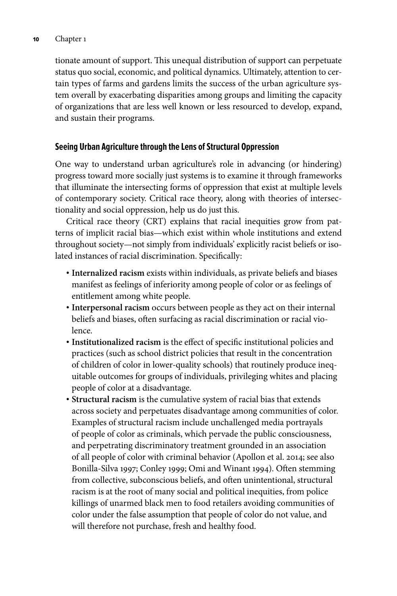## **10** Chapter 1

tionate amount of support. This unequal distribution of support can perpetuate status quo social, economic, and political dynamics. Ultimately, attention to certain types of farms and gardens limits the success of the urban agriculture system overall by exacerbating disparities among groups and limiting the capacity of organizations that are less well known or less resourced to develop, expand, and sustain their programs.

# **Seeing Urban Agriculture through the Lens of Structural Oppression**

One way to understand urban agriculture's role in advancing (or hindering) progress toward more socially just systems is to examine it through frameworks that illuminate the intersecting forms of oppression that exist at multiple levels of contemporary society. Critical race theory, along with theories of intersectionality and social oppression, help us do just this.

 Critical race theory (CRT) explains that racial inequities grow from patterns of implicit racial bias—which exist within whole institutions and extend throughout society—not simply from individuals' explicitly racist beliefs or isolated instances of racial discrimination. Specifically:

- **Internalized racism** exists within individuals, as private beliefs and biases manifest as feelings of inferiority among people of color or as feelings of entitlement among white people.
- **Interpersonal racism** occurs between people as they act on their internal beliefs and biases, often surfacing as racial discrimination or racial violence.
- **Institutionalized racism** is the effect of specific institutional policies and practices (such as school district policies that result in the concentration of children of color in lower-quality schools) that routinely produce inequitable outcomes for groups of individuals, privileging whites and placing people of color at a disadvantage.
- **Structural racism** is the cumulative system of racial bias that extends across society and perpetuates disadvantage among communities of color. Examples of structural racism include unchallenged media portrayals of people of color as criminals, which pervade the public consciousness, and perpetrating discriminatory treatment grounded in an association of all people of color with criminal behavior (Apollon et al. 2014; see also Bonilla-Silva 1997; Conley 1999; Omi and Winant 1994). Often stemming from collective, subconscious beliefs, and often unintentional, structural racism is at the root of many social and political inequities, from police killings of unarmed black men to food retailers avoiding communities of color under the false assumption that people of color do not value, and will therefore not purchase, fresh and healthy food.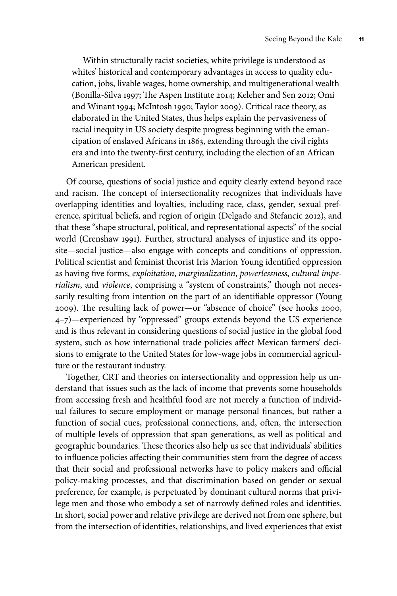Within structurally racist societies, white privilege is understood as whites' historical and contemporary advantages in access to quality education, jobs, livable wages, home ownership, and multigenerational wealth (Bonilla-Silva 1997; The Aspen Institute 2014; Keleher and Sen 2012; Omi and Winant 1994; McIntosh 1990; Taylor 2009). Critical race theory, as elaborated in the United States, thus helps explain the pervasiveness of racial inequity in US society despite progress beginning with the emancipation of enslaved Africans in 1863, extending through the civil rights era and into the twenty-first century, including the election of an African American president.

 Of course, questions of social justice and equity clearly extend beyond race and racism. The concept of intersectionality recognizes that individuals have overlapping identities and loyalties, including race, class, gender, sexual preference, spiritual beliefs, and region of origin (Delgado and Stefancic 2012), and that these "shape structural, political, and representational aspects" of the social world (Crenshaw 1991). Further, structural analyses of injustice and its opposite—social justice—also engage with concepts and conditions of oppression. Political scientist and feminist theorist Iris Marion Young identified oppression as having five forms, *exploitation*, *marginalization*, *powerlessness*, *cultural imperialism*, and *violence*, comprising a "system of constraints," though not necessarily resulting from intention on the part of an identifiable oppressor (Young 2009). The resulting lack of power—or "absence of choice" (see hooks 2000, 4–7)—experienced by "oppressed" groups extends beyond the US experience and is thus relevant in considering questions of social justice in the global food system, such as how international trade policies affect Mexican farmers' decisions to emigrate to the United States for low-wage jobs in commercial agriculture or the restaurant industry.

 Together, CRT and theories on intersectionality and oppression help us understand that issues such as the lack of income that prevents some households from accessing fresh and healthful food are not merely a function of individual failures to secure employment or manage personal finances, but rather a function of social cues, professional connections, and, often, the intersection of multiple levels of oppression that span generations, as well as political and geographic boundaries. These theories also help us see that individuals' abilities to influence policies affecting their communities stem from the degree of access that their social and professional networks have to policy makers and official policy-making processes, and that discrimination based on gender or sexual preference, for example, is perpetuated by dominant cultural norms that privilege men and those who embody a set of narrowly defined roles and identities. In short, social power and relative privilege are derived not from one sphere, but from the intersection of identities, relationships, and lived experiences that exist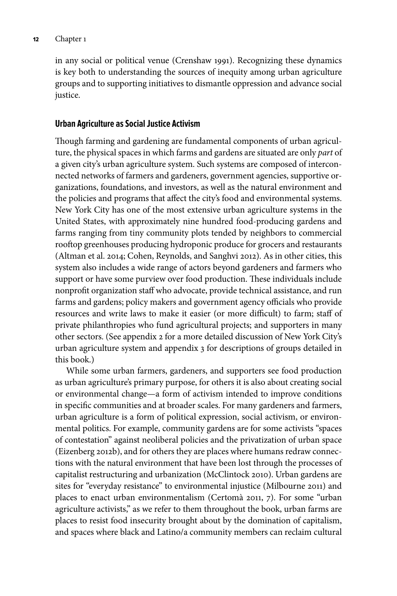# **12** Chapter 1

in any social or political venue (Crenshaw 1991). Recognizing these dynamics is key both to understanding the sources of inequity among urban agriculture groups and to supporting initiatives to dismantle oppression and advance social justice.

# **Urban Agriculture as Social Justice Activism**

Though farming and gardening are fundamental components of urban agriculture, the physical spaces in which farms and gardens are situated are only *part* of a given city's urban agriculture system. Such systems are composed of interconnected networks of farmers and gardeners, government agencies, supportive organizations, foundations, and investors, as well as the natural environment and the policies and programs that affect the city's food and environmental systems. New York City has one of the most extensive urban agriculture systems in the United States, with approximately nine hundred food-producing gardens and farms ranging from tiny community plots tended by neighbors to commercial rooftop greenhouses producing hydroponic produce for grocers and restaurants (Altman et al. 2014; Cohen, Reynolds, and Sanghvi 2012). As in other cities, this system also includes a wide range of actors beyond gardeners and farmers who support or have some purview over food production. These individuals include nonprofit organization staff who advocate, provide technical assistance, and run farms and gardens; policy makers and government agency officials who provide resources and write laws to make it easier (or more difficult) to farm; staff of private philanthropies who fund agricultural projects; and supporters in many other sectors. (See appendix 2 for a more detailed discussion of New York City's urban agriculture system and appendix 3 for descriptions of groups detailed in this book.)

 While some urban farmers, gardeners, and supporters see food production as urban agriculture's primary purpose, for others it is also about creating social or environmental change—a form of activism intended to improve conditions in specific communities and at broader scales. For many gardeners and farmers, urban agriculture is a form of political expression, social activism, or environmental politics. For example, community gardens are for some activists "spaces of contestation" against neoliberal policies and the privatization of urban space (Eizenberg 2012b), and for others they are places where humans redraw connections with the natural environment that have been lost through the processes of capitalist restructuring and urbanization (McClintock 2010). Urban gardens are sites for "everyday resistance" to environmental injustice (Milbourne 2011) and places to enact urban environmentalism (Certomà 2011, 7). For some "urban agriculture activists," as we refer to them throughout the book, urban farms are places to resist food insecurity brought about by the domination of capitalism, and spaces where black and Latino/a community members can reclaim cultural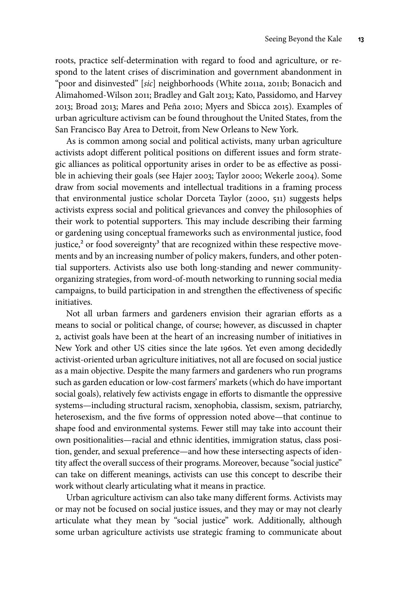roots, practice self-determination with regard to food and agriculture, or respond to the latent crises of discrimination and government abandonment in "poor and disinvested" [*sic*] neighborhoods (White 2011a, 2011b; Bonacich and Alimahomed-Wilson 2011; Bradley and Galt 2013; Kato, Passidomo, and Harvey 2013; Broad 2013; Mares and Peña 2010; Myers and Sbicca 2015). Examples of urban agriculture activism can be found throughout the United States, from the San Francisco Bay Area to Detroit, from New Orleans to New York.

 As is common among social and political activists, many urban agriculture activists adopt different political positions on different issues and form strategic alliances as political opportunity arises in order to be as effective as possible in achieving their goals (see Hajer 2003; Taylor 2000; Wekerle 2004). Some draw from social movements and intellectual traditions in a framing process that environmental justice scholar Dorceta Taylor (2000, 511) suggests helps activists express social and political grievances and convey the philosophies of their work to potential supporters. This may include describing their farming or gardening using conceptual frameworks such as environmental justice, food justice,<sup>2</sup> or food sovereignty<sup>3</sup> that are recognized within these respective movements and by an increasing number of policy makers, funders, and other potential supporters. Activists also use both long-standing and newer communityorganizing strategies, from word-of-mouth networking to running social media campaigns, to build participation in and strengthen the effectiveness of specific initiatives.

 Not all urban farmers and gardeners envision their agrarian efforts as a means to social or political change, of course; however, as discussed in chapter 2, activist goals have been at the heart of an increasing number of initiatives in New York and other US cities since the late 1960s. Yet even among decidedly activist-oriented urban agriculture initiatives, not all are focused on social justice as a main objective. Despite the many farmers and gardeners who run programs such as garden education or low-cost farmers' markets (which do have important social goals), relatively few activists engage in efforts to dismantle the oppressive systems—including structural racism, xenophobia, classism, sexism, patriarchy, heterosexism, and the five forms of oppression noted above—that continue to shape food and environmental systems. Fewer still may take into account their own positionalities—racial and ethnic identities, immigration status, class position, gender, and sexual preference—and how these intersecting aspects of identity affect the overall success of their programs. Moreover, because "social justice" can take on different meanings, activists can use this concept to describe their work without clearly articulating what it means in practice.

 Urban agriculture activism can also take many different forms. Activists may or may not be focused on social justice issues, and they may or may not clearly articulate what they mean by "social justice" work. Additionally, although some urban agriculture activists use strategic framing to communicate about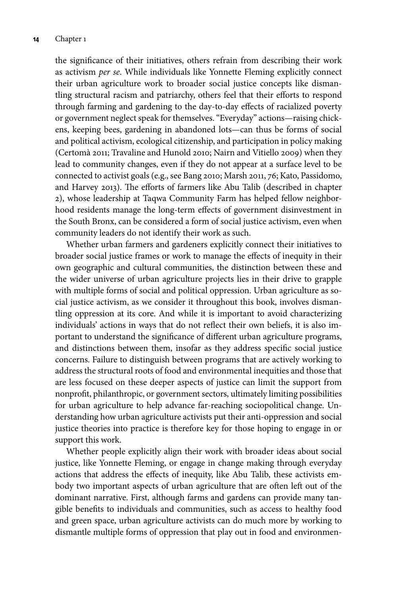the significance of their initiatives, others refrain from describing their work as activism *per se*. While individuals like Yonnette Fleming explicitly connect their urban agriculture work to broader social justice concepts like dismantling structural racism and patriarchy, others feel that their efforts to respond through farming and gardening to the day-to-day effects of racialized poverty or government neglect speak for themselves. "Everyday" actions—raising chickens, keeping bees, gardening in abandoned lots—can thus be forms of social and political activism, ecological citizenship, and participation in policy making (Certomà 2011; Travaline and Hunold 2010; Nairn and Vitiello 2009) when they lead to community changes, even if they do not appear at a surface level to be connected to activist goals (e.g., see Bang 2010; Marsh 2011, 76; Kato, Passidomo, and Harvey 2013). The efforts of farmers like Abu Talib (described in chapter 2), whose leadership at Taqwa Community Farm has helped fellow neighborhood residents manage the long-term effects of government disinvestment in the South Bronx, can be considered a form of social justice activism, even when community leaders do not identify their work as such.

 Whether urban farmers and gardeners explicitly connect their initiatives to broader social justice frames or work to manage the effects of inequity in their own geographic and cultural communities, the distinction between these and the wider universe of urban agriculture projects lies in their drive to grapple with multiple forms of social and political oppression. Urban agriculture as social justice activism, as we consider it throughout this book, involves dismantling oppression at its core. And while it is important to avoid characterizing individuals' actions in ways that do not reflect their own beliefs, it is also important to understand the significance of different urban agriculture programs, and distinctions between them, insofar as they address specific social justice concerns. Failure to distinguish between programs that are actively working to address the structural roots of food and environmental inequities and those that are less focused on these deeper aspects of justice can limit the support from nonprofit, philanthropic, or government sectors, ultimately limiting possibilities for urban agriculture to help advance far-reaching sociopolitical change. Understanding how urban agriculture activists put their anti-oppression and social justice theories into practice is therefore key for those hoping to engage in or support this work.

 Whether people explicitly align their work with broader ideas about social justice, like Yonnette Fleming, or engage in change making through everyday actions that address the effects of inequity, like Abu Talib, these activists embody two important aspects of urban agriculture that are often left out of the dominant narrative. First, although farms and gardens can provide many tangible benefits to individuals and communities, such as access to healthy food and green space, urban agriculture activists can do much more by working to dismantle multiple forms of oppression that play out in food and environmen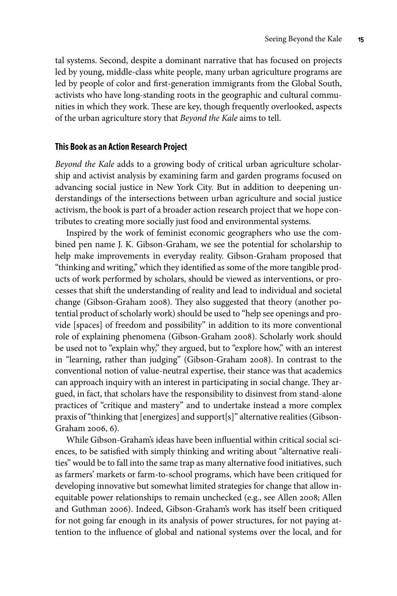tal systems. Second, despite a dominant narrative that has focused on projects led by young, middle-class white people, many urban agriculture programs are led by people of color and first-generation immigrants from the Global South, activists who have long-standing roots in the geographic and cultural communities in which they work. These are key, though frequently overlooked, aspects of the urban agriculture story that *Beyond the Kale* aims to tell.

### **This Book as an Action Research Project**

*Beyond the Kale* adds to a growing body of critical urban agriculture scholarship and activist analysis by examining farm and garden programs focused on advancing social justice in New York City. But in addition to deepening understandings of the intersections between urban agriculture and social justice activism, the book is part of a broader action research project that we hope contributes to creating more socially just food and environmental systems.

 Inspired by the work of feminist economic geographers who use the combined pen name J. K. Gibson-Graham, we see the potential for scholarship to help make improvements in everyday reality. Gibson-Graham proposed that "thinking and writing," which they identified as some of the more tangible products of work performed by scholars, should be viewed as interventions, or processes that shift the understanding of reality and lead to individual and societal change (Gibson-Graham 2008). They also suggested that theory (another potential product of scholarly work) should be used to "help see openings and provide [spaces] of freedom and possibility" in addition to its more conventional role of explaining phenomena (Gibson-Graham 2008). Scholarly work should be used not to "explain why," they argued, but to "explore how," with an interest in "learning, rather than judging" (Gibson-Graham 2008). In contrast to the conventional notion of value-neutral expertise, their stance was that academics can approach inquiry with an interest in participating in social change. They argued, in fact, that scholars have the responsibility to disinvest from stand-alone practices of "critique and mastery" and to undertake instead a more complex praxis of "thinking that [energizes] and support[s]" alternative realities (Gibson-Graham 2006, 6).

 While Gibson-Graham's ideas have been influential within critical social sciences, to be satisfied with simply thinking and writing about "alternative realities" would be to fall into the same trap as many alternative food initiatives, such as farmers' markets or farm-to-school programs, which have been critiqued for developing innovative but somewhat limited strategies for change that allow inequitable power relationships to remain unchecked (e.g., see Allen 2008; Allen and Guthman 2006). Indeed, Gibson-Graham's work has itself been critiqued for not going far enough in its analysis of power structures, for not paying attention to the influence of global and national systems over the local, and for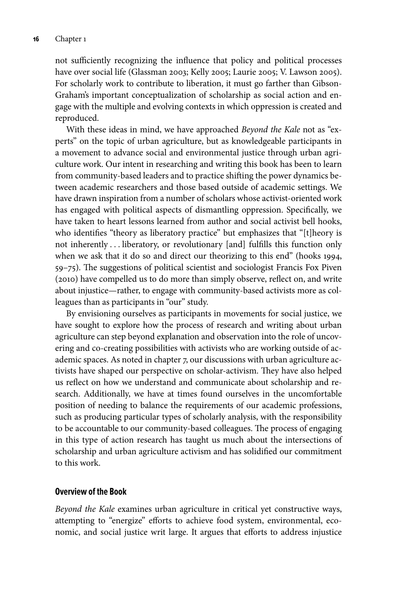not sufficiently recognizing the influence that policy and political processes have over social life (Glassman 2003; Kelly 2005; Laurie 2005; V. Lawson 2005). For scholarly work to contribute to liberation, it must go farther than Gibson-Graham's important conceptualization of scholarship as social action and engage with the multiple and evolving contexts in which oppression is created and reproduced.

 With these ideas in mind, we have approached *Beyond the Kale* not as "experts" on the topic of urban agriculture, but as knowledgeable participants in a movement to advance social and environmental justice through urban agriculture work. Our intent in researching and writing this book has been to learn from community-based leaders and to practice shifting the power dynamics between academic researchers and those based outside of academic settings. We have drawn inspiration from a number of scholars whose activist-oriented work has engaged with political aspects of dismantling oppression. Specifically, we have taken to heart lessons learned from author and social activist bell hooks, who identifies "theory as liberatory practice" but emphasizes that "[t]heory is not inherently . . . liberatory, or revolutionary [and] fulfills this function only when we ask that it do so and direct our theorizing to this end" (hooks 1994, 59–75). The suggestions of political scientist and sociologist Francis Fox Piven (2010) have compelled us to do more than simply observe, reflect on, and write about injustice—rather, to engage with community-based activists more as colleagues than as participants in "our" study.

 By envisioning ourselves as participants in movements for social justice, we have sought to explore how the process of research and writing about urban agriculture can step beyond explanation and observation into the role of uncovering and co-creating possibilities with activists who are working outside of academic spaces. As noted in chapter 7, our discussions with urban agriculture activists have shaped our perspective on scholar-activism. They have also helped us reflect on how we understand and communicate about scholarship and research. Additionally, we have at times found ourselves in the uncomfortable position of needing to balance the requirements of our academic professions, such as producing particular types of scholarly analysis, with the responsibility to be accountable to our community-based colleagues. The process of engaging in this type of action research has taught us much about the intersections of scholarship and urban agriculture activism and has solidified our commitment to this work.

### **Overview of the Book**

*Beyond the Kale* examines urban agriculture in critical yet constructive ways, attempting to "energize" efforts to achieve food system, environmental, economic, and social justice writ large. It argues that efforts to address injustice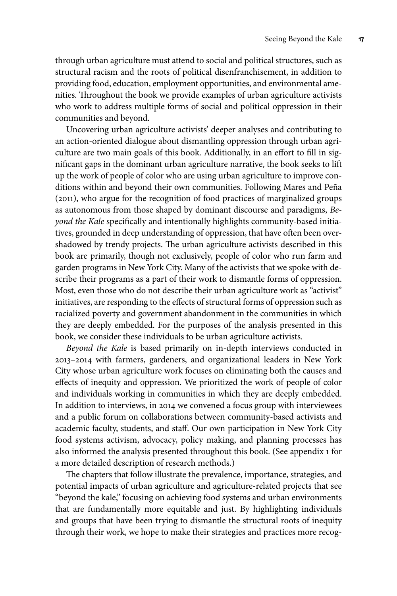through urban agriculture must attend to social and political structures, such as structural racism and the roots of political disenfranchisement, in addition to providing food, education, employment opportunities, and environmental amenities. Throughout the book we provide examples of urban agriculture activists who work to address multiple forms of social and political oppression in their communities and beyond.

 Uncovering urban agriculture activists' deeper analyses and contributing to an action-oriented dialogue about dismantling oppression through urban agriculture are two main goals of this book. Additionally, in an effort to fill in significant gaps in the dominant urban agriculture narrative, the book seeks to lift up the work of people of color who are using urban agriculture to improve conditions within and beyond their own communities. Following Mares and Peña (2011), who argue for the recognition of food practices of marginalized groups as autonomous from those shaped by dominant discourse and paradigms, *Beyond the Kale* specifically and intentionally highlights community-based initiatives, grounded in deep understanding of oppression, that have often been overshadowed by trendy projects. The urban agriculture activists described in this book are primarily, though not exclusively, people of color who run farm and garden programs in New York City. Many of the activists that we spoke with describe their programs as a part of their work to dismantle forms of oppression. Most, even those who do not describe their urban agriculture work as "activist" initiatives, are responding to the effects of structural forms of oppression such as racialized poverty and government abandonment in the communities in which they are deeply embedded. For the purposes of the analysis presented in this book, we consider these individuals to be urban agriculture activists.

*Beyond the Kale* is based primarily on in-depth interviews conducted in 2013–2014 with farmers, gardeners, and organizational leaders in New York City whose urban agriculture work focuses on eliminating both the causes and effects of inequity and oppression. We prioritized the work of people of color and individuals working in communities in which they are deeply embedded. In addition to interviews, in 2014 we convened a focus group with interviewees and a public forum on collaborations between community-based activists and academic faculty, students, and staff. Our own participation in New York City food systems activism, advocacy, policy making, and planning processes has also informed the analysis presented throughout this book. (See appendix 1 for a more detailed description of research methods.)

 The chapters that follow illustrate the prevalence, importance, strategies, and potential impacts of urban agriculture and agriculture-related projects that see "beyond the kale," focusing on achieving food systems and urban environments that are fundamentally more equitable and just. By highlighting individuals and groups that have been trying to dismantle the structural roots of inequity through their work, we hope to make their strategies and practices more recog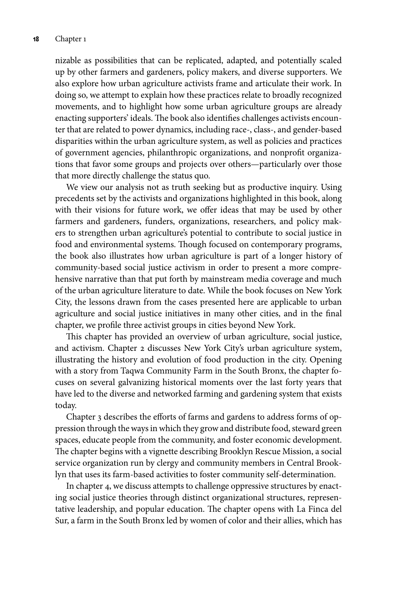nizable as possibilities that can be replicated, adapted, and potentially scaled up by other farmers and gardeners, policy makers, and diverse supporters. We also explore how urban agriculture activists frame and articulate their work. In doing so, we attempt to explain how these practices relate to broadly recognized movements, and to highlight how some urban agriculture groups are already enacting supporters' ideals. The book also identifies challenges activists encounter that are related to power dynamics, including race-, class-, and gender-based disparities within the urban agriculture system, as well as policies and practices of government agencies, philanthropic organizations, and nonprofit organizations that favor some groups and projects over others—particularly over those that more directly challenge the status quo.

 We view our analysis not as truth seeking but as productive inquiry. Using precedents set by the activists and organizations highlighted in this book, along with their visions for future work, we offer ideas that may be used by other farmers and gardeners, funders, organizations, researchers, and policy makers to strengthen urban agriculture's potential to contribute to social justice in food and environmental systems. Though focused on contemporary programs, the book also illustrates how urban agriculture is part of a longer history of community-based social justice activism in order to present a more comprehensive narrative than that put forth by mainstream media coverage and much of the urban agriculture literature to date. While the book focuses on New York City, the lessons drawn from the cases presented here are applicable to urban agriculture and social justice initiatives in many other cities, and in the final chapter, we profile three activist groups in cities beyond New York.

 This chapter has provided an overview of urban agriculture, social justice, and activism. Chapter 2 discusses New York City's urban agriculture system, illustrating the history and evolution of food production in the city. Opening with a story from Taqwa Community Farm in the South Bronx, the chapter focuses on several galvanizing historical moments over the last forty years that have led to the diverse and networked farming and gardening system that exists today.

 Chapter 3 describes the efforts of farms and gardens to address forms of oppression through the ways in which they grow and distribute food, steward green spaces, educate people from the community, and foster economic development. The chapter begins with a vignette describing Brooklyn Rescue Mission, a social service organization run by clergy and community members in Central Brooklyn that uses its farm-based activities to foster community self-determination.

 In chapter 4, we discuss attempts to challenge oppressive structures by enacting social justice theories through distinct organizational structures, representative leadership, and popular education. The chapter opens with La Finca del Sur, a farm in the South Bronx led by women of color and their allies, which has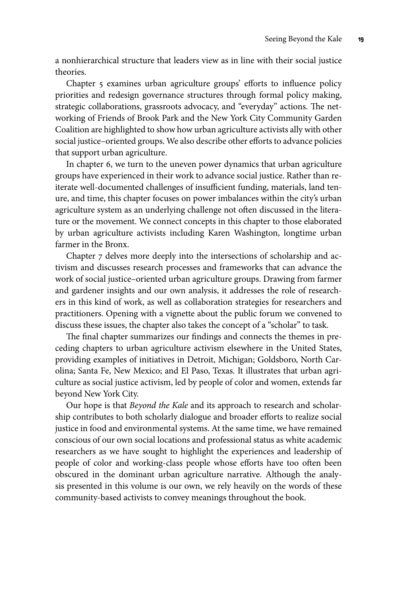a nonhierarchical structure that leaders view as in line with their social justice theories.

 Chapter 5 examines urban agriculture groups' efforts to influence policy priorities and redesign governance structures through formal policy making, strategic collaborations, grassroots advocacy, and "everyday" actions. The networking of Friends of Brook Park and the New York City Community Garden Coalition are highlighted to show how urban agriculture activists ally with other social justice–oriented groups. We also describe other efforts to advance policies that support urban agriculture.

 In chapter 6, we turn to the uneven power dynamics that urban agriculture groups have experienced in their work to advance social justice. Rather than reiterate well-documented challenges of insufficient funding, materials, land tenure, and time, this chapter focuses on power imbalances within the city's urban agriculture system as an underlying challenge not often discussed in the literature or the movement. We connect concepts in this chapter to those elaborated by urban agriculture activists including Karen Washington, longtime urban farmer in the Bronx.

 Chapter 7 delves more deeply into the intersections of scholarship and activism and discusses research processes and frameworks that can advance the work of social justice–oriented urban agriculture groups. Drawing from farmer and gardener insights and our own analysis, it addresses the role of researchers in this kind of work, as well as collaboration strategies for researchers and practitioners. Opening with a vignette about the public forum we convened to discuss these issues, the chapter also takes the concept of a "scholar" to task.

 The final chapter summarizes our findings and connects the themes in preceding chapters to urban agriculture activism elsewhere in the United States, providing examples of initiatives in Detroit, Michigan; Goldsboro, North Carolina; Santa Fe, New Mexico; and El Paso, Texas. It illustrates that urban agriculture as social justice activism, led by people of color and women, extends far beyond New York City.

 Our hope is that *Beyond the Kale* and its approach to research and scholarship contributes to both scholarly dialogue and broader efforts to realize social justice in food and environmental systems. At the same time, we have remained conscious of our own social locations and professional status as white academic researchers as we have sought to highlight the experiences and leadership of people of color and working-class people whose efforts have too often been obscured in the dominant urban agriculture narrative. Although the analysis presented in this volume is our own, we rely heavily on the words of these community-based activists to convey meanings throughout the book.